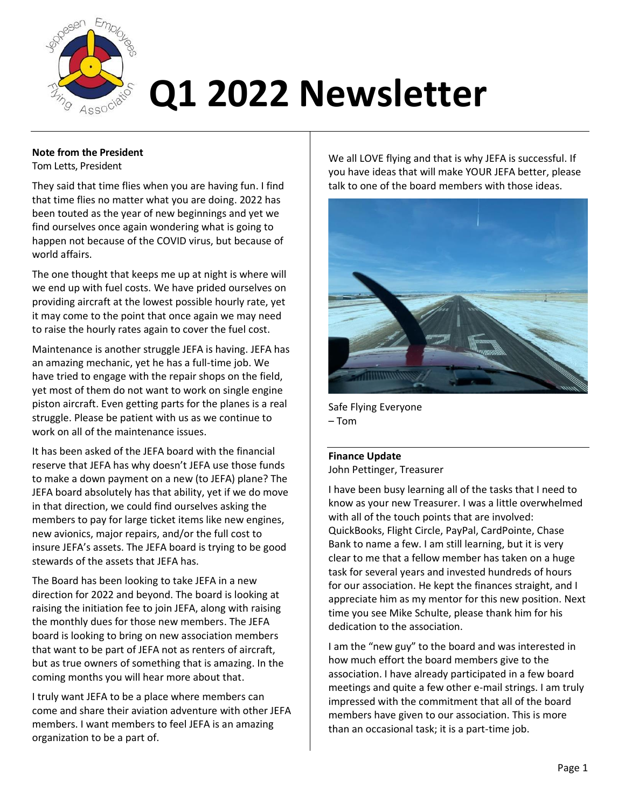

#### **Note from the President**

Tom Letts, President

They said that time flies when you are having fun. I find that time flies no matter what you are doing. 2022 has been touted as the year of new beginnings and yet we find ourselves once again wondering what is going to happen not because of the COVID virus, but because of world affairs.

The one thought that keeps me up at night is where will we end up with fuel costs. We have prided ourselves on providing aircraft at the lowest possible hourly rate, yet it may come to the point that once again we may need to raise the hourly rates again to cover the fuel cost.

Maintenance is another struggle JEFA is having. JEFA has an amazing mechanic, yet he has a full-time job. We have tried to engage with the repair shops on the field, yet most of them do not want to work on single engine piston aircraft. Even getting parts for the planes is a real struggle. Please be patient with us as we continue to work on all of the maintenance issues.

It has been asked of the JEFA board with the financial reserve that JEFA has why doesn't JEFA use those funds to make a down payment on a new (to JEFA) plane? The JEFA board absolutely has that ability, yet if we do move in that direction, we could find ourselves asking the members to pay for large ticket items like new engines, new avionics, major repairs, and/or the full cost to insure JEFA's assets. The JEFA board is trying to be good stewards of the assets that JEFA has.

The Board has been looking to take JEFA in a new direction for 2022 and beyond. The board is looking at raising the initiation fee to join JEFA, along with raising the monthly dues for those new members. The JEFA board is looking to bring on new association members that want to be part of JEFA not as renters of aircraft, but as true owners of something that is amazing. In the coming months you will hear more about that.

I truly want JEFA to be a place where members can come and share their aviation adventure with other JEFA members. I want members to feel JEFA is an amazing organization to be a part of.

We all LOVE flying and that is why JEFA is successful. If you have ideas that will make YOUR JEFA better, please talk to one of the board members with those ideas.



Safe Flying Everyone – Tom

**Finance Update** John Pettinger, Treasurer

I have been busy learning all of the tasks that I need to know as your new Treasurer. I was a little overwhelmed with all of the touch points that are involved: QuickBooks, Flight Circle, PayPal, CardPointe, Chase Bank to name a few. I am still learning, but it is very clear to me that a fellow member has taken on a huge task for several years and invested hundreds of hours for our association. He kept the finances straight, and I appreciate him as my mentor for this new position. Next time you see Mike Schulte, please thank him for his dedication to the association.

I am the "new guy" to the board and was interested in how much effort the board members give to the association. I have already participated in a few board meetings and quite a few other e-mail strings. I am truly impressed with the commitment that all of the board members have given to our association. This is more than an occasional task; it is a part-time job.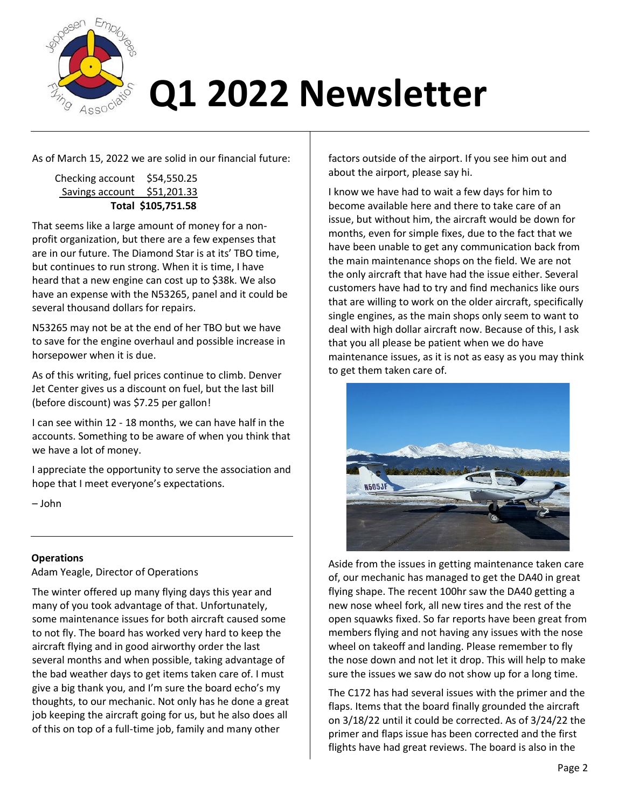

As of March 15, 2022 we are solid in our financial future:

| Total \$105,751.58           |  |
|------------------------------|--|
| Savings account \$51,201.33  |  |
| Checking account \$54,550.25 |  |

That seems like a large amount of money for a nonprofit organization, but there are a few expenses that are in our future. The Diamond Star is at its' TBO time, but continues to run strong. When it is time, I have heard that a new engine can cost up to \$38k. We also have an expense with the N53265, panel and it could be several thousand dollars for repairs.

N53265 may not be at the end of her TBO but we have to save for the engine overhaul and possible increase in horsepower when it is due.

As of this writing, fuel prices continue to climb. Denver Jet Center gives us a discount on fuel, but the last bill (before discount) was \$7.25 per gallon!

I can see within 12 - 18 months, we can have half in the accounts. Something to be aware of when you think that we have a lot of money.

I appreciate the opportunity to serve the association and hope that I meet everyone's expectations.

– John

### **Operations**

Adam Yeagle, Director of Operations

The winter offered up many flying days this year and many of you took advantage of that. Unfortunately, some maintenance issues for both aircraft caused some to not fly. The board has worked very hard to keep the aircraft flying and in good airworthy order the last several months and when possible, taking advantage of the bad weather days to get items taken care of. I must give a big thank you, and I'm sure the board echo's my thoughts, to our mechanic. Not only has he done a great job keeping the aircraft going for us, but he also does all of this on top of a full-time job, family and many other

factors outside of the airport. If you see him out and about the airport, please say hi.

I know we have had to wait a few days for him to become available here and there to take care of an issue, but without him, the aircraft would be down for months, even for simple fixes, due to the fact that we have been unable to get any communication back from the main maintenance shops on the field. We are not the only aircraft that have had the issue either. Several customers have had to try and find mechanics like ours that are willing to work on the older aircraft, specifically single engines, as the main shops only seem to want to deal with high dollar aircraft now. Because of this, I ask that you all please be patient when we do have maintenance issues, as it is not as easy as you may think to get them taken care of.



Aside from the issues in getting maintenance taken care of, our mechanic has managed to get the DA40 in great flying shape. The recent 100hr saw the DA40 getting a new nose wheel fork, all new tires and the rest of the open squawks fixed. So far reports have been great from members flying and not having any issues with the nose wheel on takeoff and landing. Please remember to fly the nose down and not let it drop. This will help to make sure the issues we saw do not show up for a long time.

The C172 has had several issues with the primer and the flaps. Items that the board finally grounded the aircraft on 3/18/22 until it could be corrected. As of 3/24/22 the primer and flaps issue has been corrected and the first flights have had great reviews. The board is also in the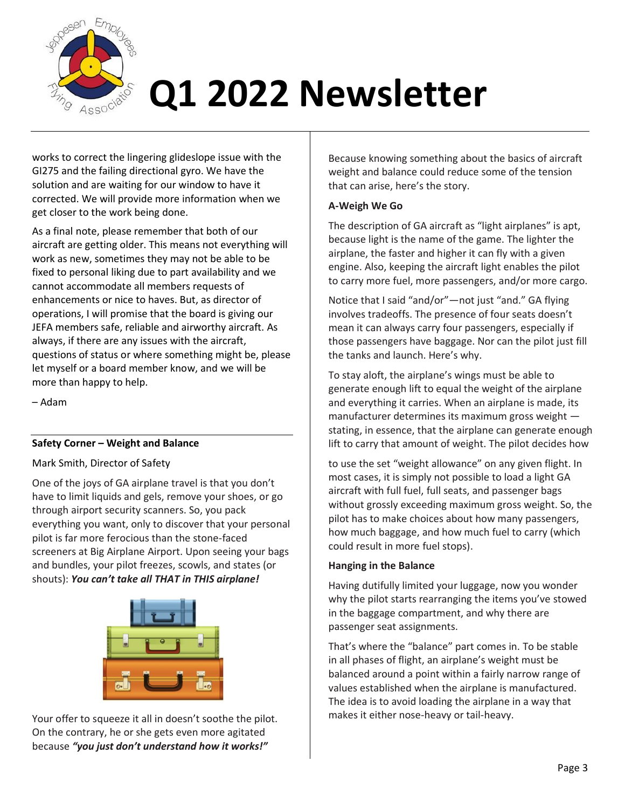

works to correct the lingering glideslope issue with the GI275 and the failing directional gyro. We have the solution and are waiting for our window to have it corrected. We will provide more information when we get closer to the work being done.

As a final note, please remember that both of our aircraft are getting older. This means not everything will work as new, sometimes they may not be able to be fixed to personal liking due to part availability and we cannot accommodate all members requests of enhancements or nice to haves. But, as director of operations, I will promise that the board is giving our JEFA members safe, reliable and airworthy aircraft. As always, if there are any issues with the aircraft, questions of status or where something might be, please let myself or a board member know, and we will be more than happy to help.

– Adam

#### **Safety Corner – Weight and Balance**

#### Mark Smith, Director of Safety

One of the joys of GA airplane travel is that you don't have to limit liquids and gels, remove your shoes, or go through airport security scanners. So, you pack everything you want, only to discover that your personal pilot is far more ferocious than the stone-faced screeners at Big Airplane Airport. Upon seeing your bags and bundles, your pilot freezes, scowls, and states (or shouts): *You can't take all THAT in THIS airplane!* 



Your offer to squeeze it all in doesn't soothe the pilot. On the contrary, he or she gets even more agitated because *"you just don't understand how it works!"* 

Because knowing something about the basics of aircraft weight and balance could reduce some of the tension that can arise, here's the story.

#### **A-Weigh We Go**

The description of GA aircraft as "light airplanes" is apt, because light is the name of the game. The lighter the airplane, the faster and higher it can fly with a given engine. Also, keeping the aircraft light enables the pilot to carry more fuel, more passengers, and/or more cargo.

Notice that I said "and/or"—not just "and." GA flying involves tradeoffs. The presence of four seats doesn't mean it can always carry four passengers, especially if those passengers have baggage. Nor can the pilot just fill the tanks and launch. Here's why.

To stay aloft, the airplane's wings must be able to generate enough lift to equal the weight of the airplane and everything it carries. When an airplane is made, its manufacturer determines its maximum gross weight stating, in essence, that the airplane can generate enough lift to carry that amount of weight. The pilot decides how

to use the set "weight allowance" on any given flight. In most cases, it is simply not possible to load a light GA aircraft with full fuel, full seats, and passenger bags without grossly exceeding maximum gross weight. So, the pilot has to make choices about how many passengers, how much baggage, and how much fuel to carry (which could result in more fuel stops).

#### **Hanging in the Balance**

Having dutifully limited your luggage, now you wonder why the pilot starts rearranging the items you've stowed in the baggage compartment, and why there are passenger seat assignments.

That's where the "balance" part comes in. To be stable in all phases of flight, an airplane's weight must be balanced around a point within a fairly narrow range of values established when the airplane is manufactured. The idea is to avoid loading the airplane in a way that makes it either nose-heavy or tail-heavy.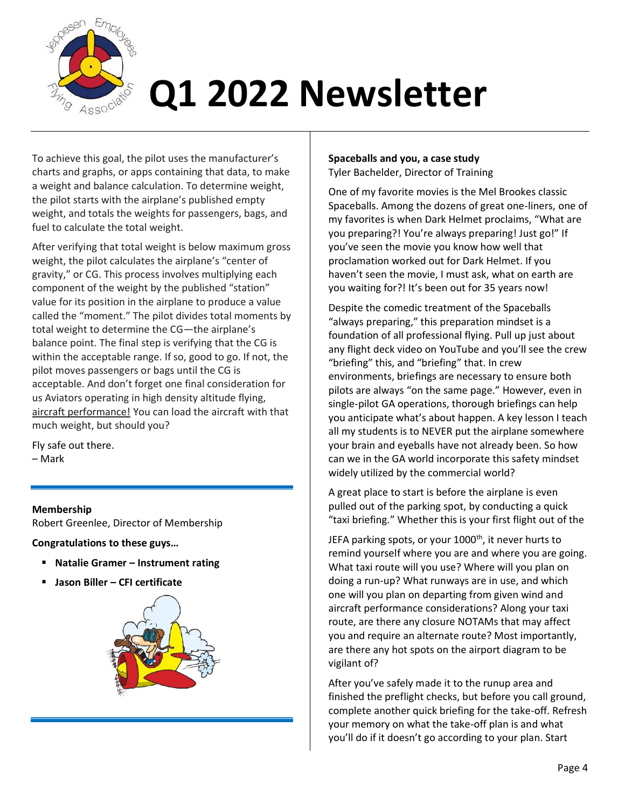

To achieve this goal, the pilot uses the manufacturer's charts and graphs, or apps containing that data, to make a weight and balance calculation. To determine weight, the pilot starts with the airplane's published empty weight, and totals the weights for passengers, bags, and fuel to calculate the total weight.

After verifying that total weight is below maximum gross weight, the pilot calculates the airplane's "center of gravity," or CG. This process involves multiplying each component of the weight by the published "station" value for its position in the airplane to produce a value called the "moment." The pilot divides total moments by total weight to determine the CG—the airplane's balance point. The final step is verifying that the CG is within the acceptable range. If so, good to go. If not, the pilot moves passengers or bags until the CG is acceptable. And don't forget one final consideration for us Aviators operating in high density altitude flying, aircraft performance! You can load the aircraft with that much weight, but should you?

Fly safe out there.

– Mark

#### **Membership**

Robert Greenlee, Director of Membership

**Congratulations to these guys…**

- **Natalie Gramer – Instrument rating**
- **Jason Biller – CFI certificate**



#### **Spaceballs and you, a case study** Tyler Bachelder, Director of Training

One of my favorite movies is the Mel Brookes classic Spaceballs. Among the dozens of great one-liners, one of my favorites is when Dark Helmet proclaims, "What are you preparing?! You're always preparing! Just go!" If you've seen the movie you know how well that proclamation worked out for Dark Helmet. If you haven't seen the movie, I must ask, what on earth are you waiting for?! It's been out for 35 years now!

Despite the comedic treatment of the Spaceballs "always preparing," this preparation mindset is a foundation of all professional flying. Pull up just about any flight deck video on YouTube and you'll see the crew "briefing" this, and "briefing" that. In crew environments, briefings are necessary to ensure both pilots are always "on the same page." However, even in single-pilot GA operations, thorough briefings can help you anticipate what's about happen. A key lesson I teach all my students is to NEVER put the airplane somewhere your brain and eyeballs have not already been. So how can we in the GA world incorporate this safety mindset widely utilized by the commercial world?

A great place to start is before the airplane is even pulled out of the parking spot, by conducting a quick "taxi briefing." Whether this is your first flight out of the

JEFA parking spots, or your 1000<sup>th</sup>, it never hurts to remind yourself where you are and where you are going. What taxi route will you use? Where will you plan on doing a run-up? What runways are in use, and which one will you plan on departing from given wind and aircraft performance considerations? Along your taxi route, are there any closure NOTAMs that may affect you and require an alternate route? Most importantly, are there any hot spots on the airport diagram to be vigilant of?

After you've safely made it to the runup area and finished the preflight checks, but before you call ground, complete another quick briefing for the take-off. Refresh your memory on what the take-off plan is and what you'll do if it doesn't go according to your plan. Start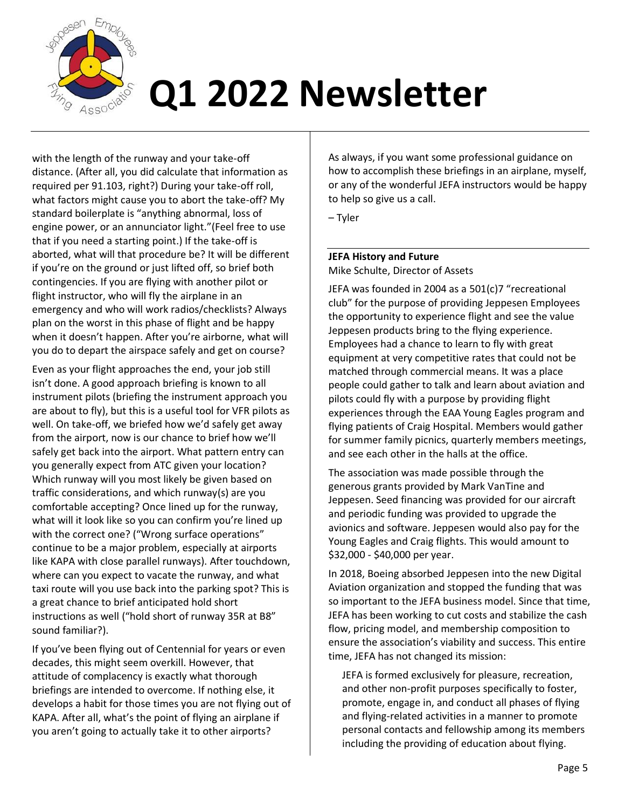

with the length of the runway and your take-off distance. (After all, you did calculate that information as required per 91.103, right?) During your take-off roll, what factors might cause you to abort the take-off? My standard boilerplate is "anything abnormal, loss of engine power, or an annunciator light."(Feel free to use that if you need a starting point.) If the take-off is aborted, what will that procedure be? It will be different if you're on the ground or just lifted off, so brief both contingencies. If you are flying with another pilot or flight instructor, who will fly the airplane in an emergency and who will work radios/checklists? Always plan on the worst in this phase of flight and be happy when it doesn't happen. After you're airborne, what will you do to depart the airspace safely and get on course?

Even as your flight approaches the end, your job still isn't done. A good approach briefing is known to all instrument pilots (briefing the instrument approach you are about to fly), but this is a useful tool for VFR pilots as well. On take-off, we briefed how we'd safely get away from the airport, now is our chance to brief how we'll safely get back into the airport. What pattern entry can you generally expect from ATC given your location? Which runway will you most likely be given based on traffic considerations, and which runway(s) are you comfortable accepting? Once lined up for the runway, what will it look like so you can confirm you're lined up with the correct one? ("Wrong surface operations" continue to be a major problem, especially at airports like KAPA with close parallel runways). After touchdown, where can you expect to vacate the runway, and what taxi route will you use back into the parking spot? This is a great chance to brief anticipated hold short instructions as well ("hold short of runway 35R at B8" sound familiar?).

If you've been flying out of Centennial for years or even decades, this might seem overkill. However, that attitude of complacency is exactly what thorough briefings are intended to overcome. If nothing else, it develops a habit for those times you are not flying out of KAPA. After all, what's the point of flying an airplane if you aren't going to actually take it to other airports?

As always, if you want some professional guidance on how to accomplish these briefings in an airplane, myself, or any of the wonderful JEFA instructors would be happy to help so give us a call.

– Tyler

### **JEFA History and Future** Mike Schulte, Director of Assets

JEFA was founded in 2004 as a 501(c)7 "recreational club" for the purpose of providing Jeppesen Employees the opportunity to experience flight and see the value Jeppesen products bring to the flying experience. Employees had a chance to learn to fly with great equipment at very competitive rates that could not be matched through commercial means. It was a place people could gather to talk and learn about aviation and pilots could fly with a purpose by providing flight experiences through the EAA Young Eagles program and flying patients of Craig Hospital. Members would gather for summer family picnics, quarterly members meetings, and see each other in the halls at the office.

The association was made possible through the generous grants provided by Mark VanTine and Jeppesen. Seed financing was provided for our aircraft and periodic funding was provided to upgrade the avionics and software. Jeppesen would also pay for the Young Eagles and Craig flights. This would amount to \$32,000 - \$40,000 per year.

In 2018, Boeing absorbed Jeppesen into the new Digital Aviation organization and stopped the funding that was so important to the JEFA business model. Since that time, JEFA has been working to cut costs and stabilize the cash flow, pricing model, and membership composition to ensure the association's viability and success. This entire time, JEFA has not changed its mission:

JEFA is formed exclusively for pleasure, recreation, and other non-profit purposes specifically to foster, promote, engage in, and conduct all phases of flying and flying-related activities in a manner to promote personal contacts and fellowship among its members including the providing of education about flying.